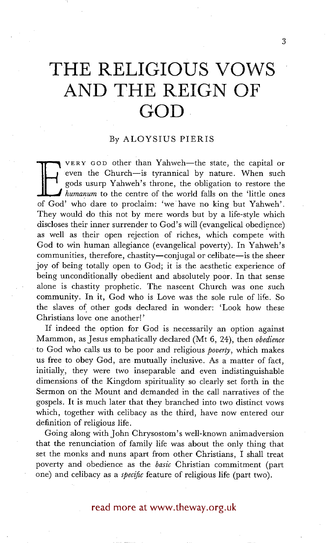# **THE RELIGIOUS VOWS AND THE REIGN OF GOD**

## By ALOYSIUS PIERIS

VERY GOD other than Yahweh-the state, the capital or even the Church-is tyrannical by nature. When such gods usurp Yahweh's throne, the obligation to restore the *humanum* to the centre of the world falls on the 'little ones of God' who dare to proclaim: 'we have no king but Yahweh'. They would do this not by mere words but by a life-style which discloses their inner surrender to God's will (evangelical obedience) as well as their open rejection of riches, which compete with God to win human allegiance (evangelical poverty). In Yahweh's communities, therefore, chastity—conjugal or celibate—is the sheer joy of being totally open to God; it is the aesthetic experience of being unconditionally obedient and absolutely poor. In that sense alone is chastity prophetic. The nascent Church was one such community. In it, God who is Love was the sole rule of life. So the slaves of other gods declared in wonder: 'Look how these Christians love one another!'

If indeed the option for God is necessarily an option against Mammon, as Jesus emphatically declared (Mt 6, 24), then *obedience*  • to God who calls us to be poor and religious *poverty,* which makes us free to obey God, are mutually inclusive. As a matter of fact, initially, they were two inseparable and even indistinguishable dimensions of the Kingdom spirituality so clearly set forth in the Sermon on the Mount and demanded in the call narratives of the gospels. It is much later that they branched into two distinct vows which, together with celibacy as the third, have now entered our definition of religious life.

Going along with John Chrysostom's well-known animadversion that the renunciation of family life was about the only thing that set the monks and nuns apart from other Christians, I shall treat poverty and obedience as the *basic* Christian commitment (part one) and celibacy as a *specific* feature of religious life (part two).

## read more at www.theway.org.uk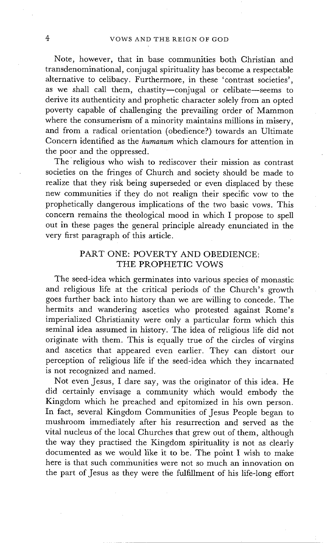Note, however, that in base communities both Christian and transdenominational, conjugal spirituality has become a respectable alternative to celibacy. Furthermore, in these 'contrast societies', as we shall call them, chastity-conjugal or celibate-seems to derive its authenticity and prophetic character solely from an opted poverty capable of challenging the prevailing order of Mammon where the consumerism of a minority maintains millions in misery, and from a radical orientation (obedience?) towards an Ultimate Concern identified as the *humanum* which clamours for attention in the poor and the oppressed.

The religious who wish to rediscover their mission as contrast societies on the fringes of Church and society should be made to realize that they risk being superseded or even displaced by these new communities if they do not realign their specific vow to the prophetically dangerous implications of the two basic vows. This concern remains the theological mood in which I propose to spell out in these pages the general principle already enunciated in the very first paragraph of this article.

## PART ONE: POVERTY AND OBEDIENCE: THE PROPHETIC VOWS

The seed-idea which germinates into various species of monastic and religious life at the critical periods of the Church's growth goes further back into history than we are willing to concede. The hermits and wandering ascetics who protested against Rome's imperialized Christianity were only a particular form which this seminal idea assumed in history. The idea of religious life did not originate with them. This is equally true of the circles of virgins and ascetics that appeared even earlier. They can distort our perception of religious life if the seed-idea which they incarnated is not recognized and named.

Not even Jesus, I dare say, was the originator of this idea. He did certainly envisage a community which would embody the Kingdom which he preached and epitomized in his own person. In fact, several Kingdom Communities of Jesus People began to mushroom immediately after his resurrection and served as the vital nucleus of the local Churches that grew out of them, although the way they practised the Kingdom spirituality is not as clearly documented as we would like it to be. The point I wish to make here is that such communities were not so much an innovation on the part of Jesus as they were the fulfillment of his life-long effort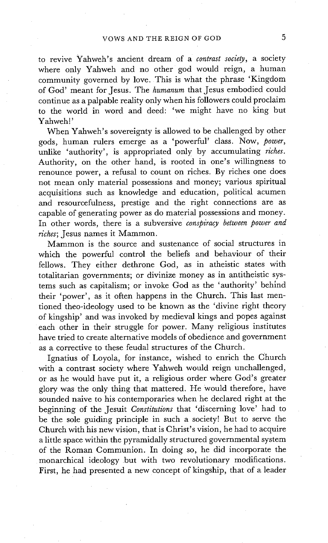to revive Yahweh's ancient dream of a *contrast society,* a society where only Yahweh and no other god would reign, a human community governed by love. This is what the phrase 'Kingdom of God' meant for Jesus. The *humanum* that Jesus embodied could continue as a palpable reality only when his followers could proclaim to the world in word and deed: 'we might have no king but Yahweh!'

When Yahweh's sovereignty is allowed to be challenged by other gods, human rulers emerge as a 'powerful' class. Now, *power,*  unlike 'authority', is appropriated only by accumulating *riches.*  Authority, on the other hand, is rooted in one's willingness to renounce power, a refusal to count on riches. By riches one does not mean only material possessions and money; various spiritual acquisitions such as knowledge and education, political acumen and resourcefulness, prestige and the right connections are as capable of generating power as do material possessions and money. In other words, there is a subversive *conspiracy between power and riches;* Jesus names it Mammon.

Mammon is the source and sustenance of social structures in which the powerful control the beliefs and behaviour of their fellows. They either dethrone God, as in atheistic states with totalitarian governments; or divinize money as in antitheistic systems such as capitalism; or invoke God as the 'authority' behind their 'power', as it often happens in the Church. This last mentioned theo-ideology used to be known as the 'divine right theory of kingship' and was invoked by medieval kings and popes against each other in their struggle for power. Many religious institutes have tried to create alternative models of obedience and government as a corrective to these feudal structures of the Church.

Ignatius of Loyola, for instance, wished to enrich the Church with a contrast society where Yahweh would reign unchallenged, or as he would have put it, a religious order where God's greater glory was the only thing that mattered. He Would therefore, have sounded naive to his contemporaries when he declared right at the beginning of the Jesuit *Constitutions* that 'discerning love' had to be the sole guiding principle in such a society! But to serve the Church with his new vision, that is Christ's vision, he had to acquire a little space within the pyramidally structured governmental system of the Roman Communion. In doing so, he did incorporate the monarchical ideology but with two revolutionary modifications. First, he had presented a new concept of kingship, that of a leader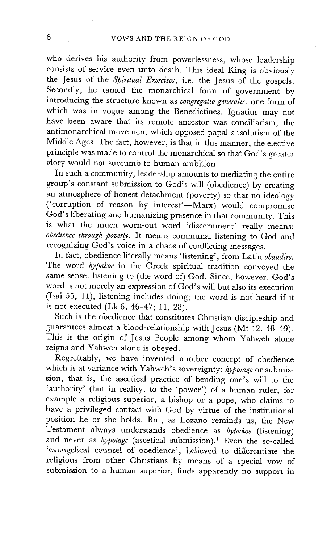who derives his authority from powerlessness, whose leadership consists of service even unto death. This ideal King is obviously the Jesus of the *Spiritual Exercises,* i.e. the Jesus of the gospels. Secondly, he tamed the monarchical form of government by introducing the structure known as *congregatio generalis,* one form of which was in vogue among the Benedictines. Ignatius may not have been aware that its remote ancestor was conciliarism, the antimonarchical movement which opposed papal absolutism of the Middle Ages. The fact, however, is that in this manner, the elective principle was made to control the monarchical so that God's greater glory would not succumb to human ambition.

In such a community, leadership amounts to mediating the entire group's constant submission to God's will (obedience) by creating an atmosphere of honest detachment (poverty) so that no ideology ('corruption of reason by interest'-Marx) would compromise God's liberating and humanizing presence in that community. This is what the much worn-out word 'discernment' really means: *obedience through poverty.* It means communal listening to God and recognizing God's voice in a chaos of conflicting messages.

In fact, obedience literally means 'listening', from Latin *obaudire.*  The word *hypakoe* in the Greek spiritual tradition conveyed the same sense: listening to (the word of) God. Since, however, God's word is not merely an expression of God's will but also its execution (Isai 55, 11), listening includes doing; the word is not heard if it is not executed (Lk 6, 46-47; 11, 28).

Such is the obedience that constitutes Christian discipleship and guarantees almost a blood-relationship with Jesus (Mt 12, 48-49). This is the origin of Jesus People among whom Yahweh alone reigns and Yahweh alone is obeyed.

Regrettably, we have invented another concept of obedience which is at variance with Yahweh's sovereignty: *hypotage* or submission, that is, the ascetical practice of bending one's will to the 'authority' (but in reality, to the 'power') of a human ruler, for example a religious superior, a bishop or a pope, who claims to have a privileged contact with God by virtue of the institutional position he or she holds. But, as Lozano reminds us, the New Testament always understands obedience as *hypakoe* (listening) and never as *hypotage* (ascetical submission).<sup>1</sup> Even the so-called 'evangelical counsel of obedience', believed to differentiate the religious from other Christians by means of a special vow of submission to a human superior, finds apparently no support in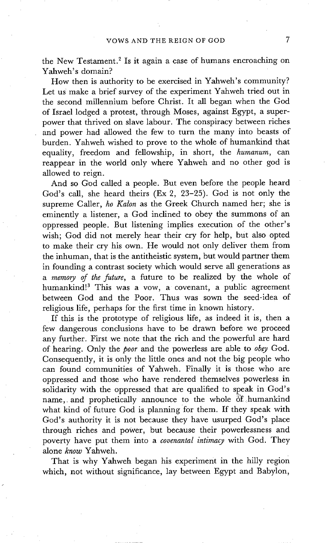the New Testament.<sup>2</sup> Is it again a case of humans encroaching on Yahweh's domain?

How then is authority to be exercised in Yahweh's community? Let us make a brief survey of the experiment Yahweh tried out in the second millennium before Christ. It all began when the God of Israel lodged a protest, through Moses, against Egypt, a superpower that thrived on slave labour. The conspiracy between riches and power had allowed the few to turn the many into beasts of burden. Yahweh wished to prove to the whole of humankind that equality, freedom and fellowship, in short, the *humanum,* can reappear in the world only where Yahweh and no other god is allowed to reign.

And so God called a people. But even before the people heard God's call, she heard theirs (Ex 2, 23-25). God is not only the supreme Caller, *ho Kalon* as the Greek Church named her; she is eminently a listener, a God inclined to obey the summons of an oppressed people. But listening implies execution of the other's wish; God did not merely hear their cry for help, but also opted to make their cry his own. He would not only deliver them from the inhuman, that is the antitheistic system, but would partner them in founding a contrast society which would serve all generations as *a memory of the future,* a future to be realized by the whole of humankind!<sup>3</sup> This was a vow, a covenant, a public agreement between God and the Poor. Thus was sown the seed-idea of religious life, perhaps for the first time in known history.

If this is the prototype of religious life, as indeed it is, then a few dangerous conclusions have to be drawn before we proceed any further. First we note that the rich and the powerful are hard of hearing. Only the *poor* and the powerless are able to *obey* God. Consequently, it is only the little ones and not the big people who can found communities of Yahweh. Finally it is those who are oppressed and those who have rendered themselves powerless in solidarity with the oppressed that are qualified to speak in God's name, and prophetically announce to the whole of humankind what kind of future God is planning for them. If they speak with God's authority it is not because they have usurped God's place through riches and power, but because their powerlessness and poverty have put them into a *covenantal intimacy* with God. They alone *know* Yahweh.

That is why Yahweh began his experiment in the hilly region which, not without significance, lay between Egypt and Babylon,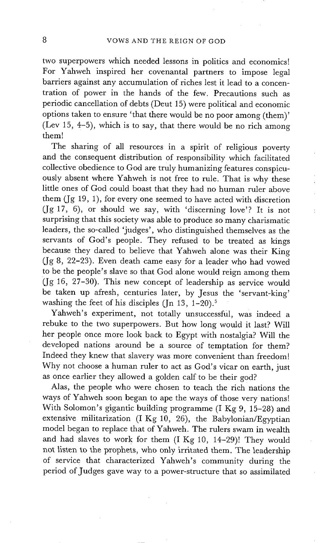two superpowers which needed lessons in politics and economics! For Yahweh inspired her covenantal partners to impose legal barriers against any accumulation of riches lest it lead to a concentration of power in the hands of the few. Precautions such as periodic cancellation of debts (Deut 15) were political and economic options taken to ensure 'that there would be no poor among (them)' (Lev 15, 4-5), which is to say, that there would be no rich among them!

The sharing of all resources in a spirit of religious poverty and the consequent distribution of responsibility which facilitated collective obedience to God are truly humanizing features conspicuously absent where Yahweh is not free to rule. That is why these little ones of God could boast that they had no human ruler above them (Jg 19, 1), for every one seemed to have acted with discretion (Jg 17, 6), or should we say, with 'discerning love'? It is not surprising that this society was able to produce so many charismatic leaders, the so-called 'judges', who distinguished themselves as the servants of God's people. They refused to be treated as kings because they dared to believe that Yahweh alone was their King (Jg 8, 22-23). Even death came easy for a leader who had vowed to be the people's slave so that God alone would reign among them (Jg 16, 27-30). This new concept of leadership as service would be taken up afresh, centuries later, by Jesus the 'servant-king' washing the feet of his disciples (Jn 13,  $1-20$ ).<sup>5</sup>

Yahweh's experiment, not totally unsuccessful, was indeed a rebuke to the two superpowers. But how long would it last? Will her people once more look back to Egypt with nostalgia? Will the developed nations around be a source of temptation for them? Indeed they knew that slavery was more convenient than freedom! Why not choose a human ruler to act as God's vicar on earth, just as once earlier they allowed a golden calf to be their god?

Alas, the people who were chosen to teach the rich nations the ways of Yahweh soon began to ape the ways of those very nations! With Solomon's gigantic building programme (I Kg 9, 15-28) and extensive militarization (I Kg 10, 26), the Babylonian/Egyptian model began to replace that of Yahweh. The rulers swam in wealth and had slaves to work for them (I Kg 10, 14-29)! They would not listen to the prophets, who only irritated them. The leadership of service that characterized Yahweh's community during the period of Judges gave way to a power-structure that so assimilated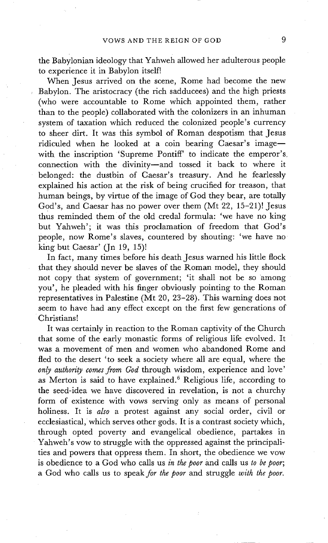the Babylonian ideology that Yahweh allowed her adulterous people to experience it in Babylon itself!

When Jesus arrived on the scene, Rome had become the new Babylon. The aristocracy (the rich sadducees) and the high priests (who were accountable to Rome which appointed them, rather than to the people) collaborated with the colonizers in an inhuman system of taxation which reduced the colonized people's currency to sheer dirt. It was this symbol of Roman despotism that Jesus ridiculed when he looked at a coin bearing Caesar's imagewith the inscription 'Supreme Pontiff' to indicate the emperor's. connection with the divinity-and tossed it back to where it belonged: the dustbin of Caesar's treasury. And he fearlessly explained his action at the risk of being crucified for treason, that human beings, by virtue of the image of God they bear, are totally God's , and Caesar has no power over them (Mt 22, 15-21)! Jesus thus reminded them of the old credal formula: 'we have no king but Yahweh'; it was this proclamation of freedom that God's people, now Rome's slaves, countered by shouting: 'we have no king but Caesar' (Jn 19, 15)!

In fact, many times before his death Jesus warned his little flock that they should never be slaves of the Roman model, they should not copy that system of government; 'it shall not be so among you', he pleaded with his finger obviously pointing to the Roman representatives in Palestine (Mt 20, 23-28). This warning does not seem to have had any effect except on the first few generations of Christians!

It was certainly in reaction to the Roman captivity of the Church that some of the early monastic forms of religious life evolved. It was a movement of men and women who abandoned Rome and fled to the desert 'to seek a society where all are equal, where the *only authority comes from God* through wisdom, experience and love' as Merton is said to have explained.<sup>6</sup> Religious life, according to the seed-idea we have discovered in revelation, is not a churchy form of existence with vows serving only as means of personal holiness. It is *also* a protest against any social order, civil or ecclesiastical, which serves other gods. It is a contrast society which, through opted poverty and evangelical obedience, partakes in Yahweh's vow to struggle with the oppressed against the principalities and powers that oppress them. In short, the obedience we vow is obedience to a God who calls us *in the poor* and calls us *to be poor;*  a God who calls us to *speak for the poor* and struggle *with the poor.*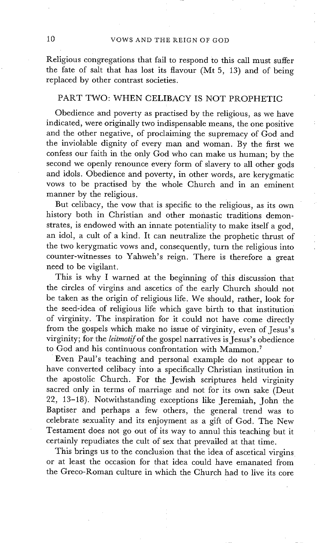# 10 VOWS AND THE REIGN OF GOD

Religious congregations that fail to respond to this call must suffer the fate of salt that has lost its flavour (Mt 5, 13) and of being replaced by other contrast societies.

# PART TWO: WHEN CELIBACY IS NOT PROPHETIC

Obedience and poverty as practised by the religious, as we have indicated, were originally two indispensable means, the one positive and the other negative, of proclaiming the supremacy of God and the inviolable dignity of every man and woman. By the first we confess our faith in the only God who can make us human; by the second we openly renounce every form of slavery to all other gods and idols. Obedience and poverty, in other words, are kerygmatic vows to be practised by the whole Church and in an eminent manner by the religious.

But celibacy, the vow that is specific to the religious, as its own history both in Christian and other monastic traditions demonstrates, is endowed with an innate potentiality to make itself a god, an idol, a cult of a kind. It can neutralize the prophetic thrust of the two kerygmatic vows and, consequently, turn the religious into counter-witnesses to Yahweh's reign. There is therefore a great need to be vigilant.

This is why I warned at the beginning of this discussion that the circles of virgins and ascetics of the early Church should not be taken as the origin of religious life. We should, rather, look for the seed-idea of religious life which gave birth to that institution of virginity. The inspiration for it could not have come directly from the gospels which make no issue of virginity, even of Jesus's virginity; for the *leitmotif* of the gospel narratives is Jesus's obedience to God and his continuous confrontation with Mammon. 7

Even Paul's teaching and personal example do not appear to have converted celibacy into a specifically Christian institution in the apostolic Church. For the Jewish scriptures held virginity sacred only in terms of marriage and not for its own sake (Deut 22, 13-18). Notwithstanding exceptions like Jeremiah, John the Baptiser and perhaps a few others, the general trend was to celebrate sexuality and its enjoyment as a gift of God. The New Testament does not go out of its way to annul this teaching but it certainly repudiates the cult of sex that prevailed at that time.

This brings us to the conclusion that the idea of ascetical virgins or at least the occasion for that idea could have emanated from the Greco-Roman culture in which the Church had to live its core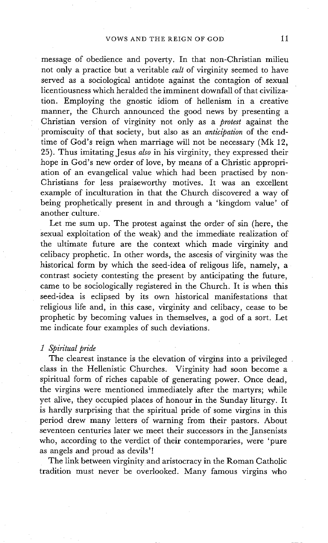message of obedience and poverty. In that non-Christian milieu not only a practice but a veritable *cult* of virginity seemed to have served as a sociological antidote against the contagion of sexual licentiousness which heralded the imminent downfall of that civilization. Employing the gnostic idiom of hellenism in a creative manner, the Church announced the good news by presenting a Christian version of virginity not only as a *protest* against the promiscuity of that society, but also as an *anticipation* of the endtime of God's reign when marriage will not be necessary (Mk 12, 25). Thus imitating Jesus *also* in his virginity, they expressed their hope in God's new order of love, by means of a Christic appropriation of an evangelical value which had been practised by non-Christians for less praiseworthy motives. It was an excellent example of inculturation in that the Church discovered a way of being prophetically present in and through a 'kingdom value' of another culture.

Let me sum up. The protest against the order of sin (here, the sexual exploitation of the weak) and the immediate realization of the ultimate future are the context which made virginity and celibacy prophetic. In other words, the ascesis of virginity was the historical form by which the seed-idea of religous life, namely, a contrast society contesting the present by anticipating the future, came to be sociologically registered in the Church. It is when this seed-idea is eclipsed by its own historical manifestations that religious life and, in this case, virginity and celibacy, cease to be prophetic by becoming values in themselves, a god of a sort. Let me indicate four examples of such deviations.

#### *1 Spiritual pride*

The clearest instance is the elevation of virgins into a privileged. class in the Hellenistic Churches. Virginity had soon become a spiritual form of riches capable of generating power. Once dead, the virgins were mentioned immediately after the martyrs; while yet alive, they occupied places of honour in the Sunday liturgy. It is hardly surprising that the spiritual pride of some virgins in this period drew many letters of warning from their pastors. About seventeen centuries later we meet their successors in the Jansenists who, according to the verdict of their contemporaries, were 'pure as angels and proud as devils'!

The link between virginity and aristocracy in the Roman Catholic tradition must never be overlooked. Many famous virgins who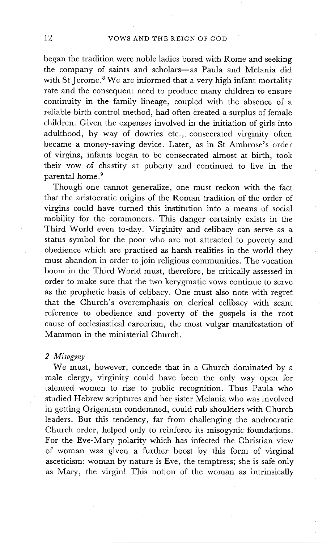began the tradition were noble ladies bored with Rome and seeking the company of saints and scholars-as Paula and Melania did with St Jerome.<sup>8</sup> We are informed that a very high infant mortality rate and the consequent need to produce many children to ensure continuity in the family lineage, coupled with the absence of a reliable birth control method, had often created a surplus of female children. Given the expenses involved in the initiation of girls into adulthood, by way of dowries etc., consecrated virginity often became a money-saving device. Later, as in St Ambrose's order of virgins, infants began to be consecrated almost at birth, took their vow of chastity at puberty and continued to live in the parental home. 9

Though' one cannot generalize, one must reckon with the fact that the aristocratic origins of the Roman tradition of the order of virgins could have turned this institution into a means of social mobility for the commoners. This danger certainly exists in the Third World even to-day. Virginity and celibacy can serve as a status symbol for the poor who are not attracted to poverty and obedience which are practised as harsh realities in the world they must abandon in order to join religious communities. The vocation boom in the Third World must, therefore, be critically assessed in order to make sure that the two kerygmatic vows continue to serve as the prophetic basis of celibacy. One must also note with regret that the Church's overemphasis on clerical celibacy with scant reference to obedience and poverty of the gospels is the root cause of ecclesiastical careerism, the most vulgar manifestation of Mammon in the ministerial Church.

#### *2 Misogyny*

We must, however, concede that in a Church dominated by a male clergy, virginity could have been the only way open for talented women to rise to public recognition. Thus Paula who studied Hebrew scriptures and her sister Melania who was involved in getting Origenism condemned, could rub shoulders with Church leaders. But this tendency, far from challenging the androcratic Church order, helped only to reinforce its misogynic foundations. For the Eve-Mary polarity which has infected the Christian view of woman was given a further boost by this form of virginal asceticism: woman by nature is Eve, the temptress; she is safe only as Mary, the virgin! This notion of the woman as intrinsically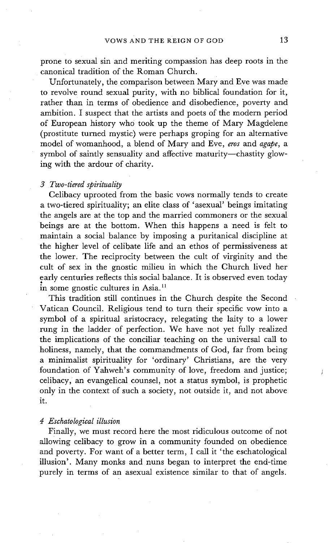prone to sexual sin and meriting compassion has deep roots in the canonical tradition of the Roman Church.

Unfortunately, the comparison between Mary and Eve was made to revolve round sexual purity, with no biblical foundation for it, rather than in terms of obedience and disobedience, poverty and ambition, t suspect that the artists and poets of the modern period of European history who took up the theme of Mary Magdelene (prostitute turned mystic) were perhaps groping for an alternative model of womanhood, a blend of Mary and Eve, *eros* and *agape, a*  symbol of saintly sensuality and affective maturity--chastity glowing with the ardour of charity.

### *3 Two-tiered spirituality*

Celibacy uprooted from the basic vows normally tends to create a two-tiered spirituality; an elite class of 'asexual' beings imitating the angels are at the top and the married commoners or the sexual beings are at the bottom. When this happens a need is felt to maintain a social balance by imposing a puritanical discipline at the higher level of celibate life and an ethos of permissiveness at the lower. The reciprocity between the cult of virginity and the cult of sex in the gnostic milieu in which the Church lived her early centuries reflects this social balance. It is observed even today in some gnostic cultures in Asia.<sup>11</sup>

This tradition still continues in the Church despite the Second Vatican Council. Religious tend to turn their specific vow into a symbol of a spiritual aristocracy, relegating the laity to a lower rung in the ladder of perfection. We have not yet fully realized the implications of the conciliar teaching on the universal call to holiness, namely, that the commandments of God, far from being a minimalist spirituality for 'ordinary' Christians, are the very foundation of Yahweh's community of love, freedom and justice; celibacy, an evangelical counsel, not a status symbol, is prophetic only in the context of such a society, not outside it, and not above it.

## *4 Eschatological illusion*

Finally, we must record here the most ridiculous outcome of not allowing celibacy to grow in a community founded on obedience and poverty. For want of a better term, I call it 'the eschatological illusion'. Many monks and nuns began to interpret the end-time purely in terms of an asexual existence similar to that of angels.

J.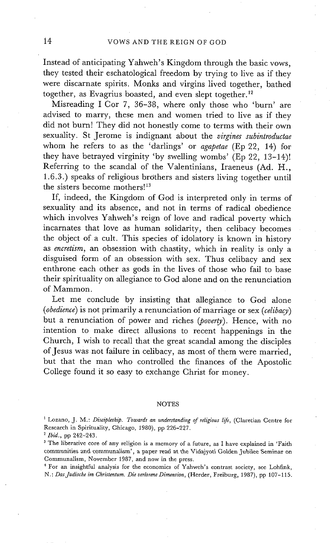Instead of anticipating Yahweh's Kingdom through the basic vows, they tested their eschatological freedom by trying to live as if they were discarnate spirits. Monks and virgins lived together, bathed together, as Evagrius boasted, and even slept together.<sup>12</sup>

Misreading I Cor 7, 36-38, where only those who 'burn' are advised to marry, these men and women tried to live as if they did not burn! They did not honestly come to terms with their own sexuality. St Jerome is indignant about the *virgines subintroductae*  whom he refers to as the 'darlings' or *agapetae* (Ep 22, 14) for they have betrayed virginity 'by swelling wombs' (Ep 22, 13-14)! Referring to the scandal of the Valentinians, Iraeneus (Ad. H., 1.6.3.) speaks of religious brothers and sisters living together until the sisters become mothers!<sup>13</sup>

If, indeed, the Kingdom of God is interpreted only in terms of sexuality and its absence, and not in terms of radical obedience which involves Yahweh's reign of love and radical poverty which incarnates that love as human solidarity, then celibacy becomes the object of a cult. This species of idolatory is known in history as *encretism,* an obsession with chastity, which in reality is only a disguised form of an obsession with sex. Thus celibacy and sex enthrone each other as gods in the lives of those who fail to base their spirituality on allegiance to God alone and on the renunciation of Mammon.

Let me conclude by insisting that allegiance to God alone *(obedience)* is not primarily a renunciation of marriage or sex *(celibacy)*  but a renunciation of power and riches *(poverty).* Hence, with no intention to make direct allusions to recent happenings in the Church, I wish to recall that the great scandal among the disciples of Jesus was not failure in celibacy, as most of them were married, but that the man who controlled the finances of the Apostolic College found it so easy to exchange Christ for money.

#### NOTES

4 For an insightful analysis for the economics of Yahweh's contrast society, see Lohfink, *N.: Das Judische im Christentum. Die verlorene Dimension, (Herder, Freiburg, 1987), pp 107-115.* 

<sup>&</sup>lt;sup>1</sup> Lozano, J. M.: *Discipleship. Towards an understanding of religious life*, (Claretian Centre for Research in Spirituality, Chicago, 1980), pp 226-227.

*<sup>2</sup> Ibid.,* pp 242-243.

<sup>&</sup>lt;sup>3</sup> The liberative core of any religion is a memory of a future, as I have explained in 'Faith communities and communalism', a paper read at the Vidajyoti Golden Jubilee Seminar on Communalism, November 1987, and now in the press.